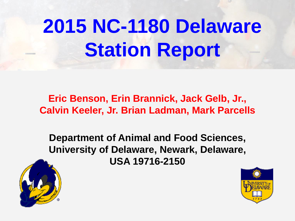# **2015 NC-1180 Delaware Station Report**

**Eric Benson, Erin Brannick, Jack Gelb, Jr., Calvin Keeler, Jr. Brian Ladman, Mark Parcells**

**Department of Animal and Food Sciences, University of Delaware, Newark, Delaware, USA 19716-2150**



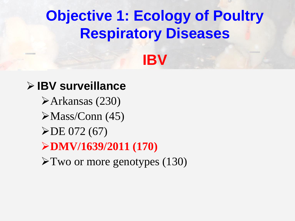## **Objective 1: Ecology of Poultry Respiratory Diseases**

## **IBV**

#### **IBV surveillance**

Arkansas (230)  $\blacktriangleright$ Mass/Conn (45)  $\triangleright$ DE 072 (67) **DMV/1639/2011 (170)** Two or more genotypes (130)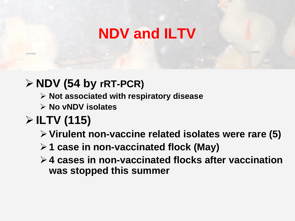## **NDV and ILTV**

#### **NDV (54 by rRT-PCR)**

- **Not associated with respiratory disease**
- **No vNDV isolates**

### **ILTV (115)**

- **Virulent non-vaccine related isolates were rare (5)**
- **1 case in non-vaccinated flock (May)**
- **4 cases in non-vaccinated flocks after vaccination was stopped this summer**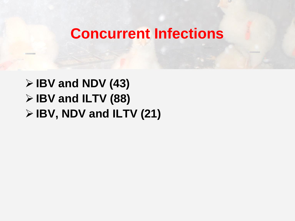#### **Concurrent Infections**

 **IBV and NDV (43) IBV and ILTV (88) IBV, NDV and ILTV (21)**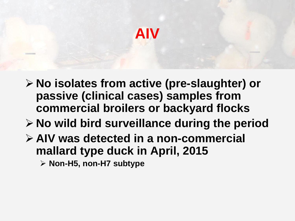### **AIV**

- **No isolates from active (pre-slaughter) or passive (clinical cases) samples from commercial broilers or backyard flocks**
- **No wild bird surveillance during the period**
- **AIV was detected in a non-commercial mallard type duck in April, 2015**
	- **Non-H5, non-H7 subtype**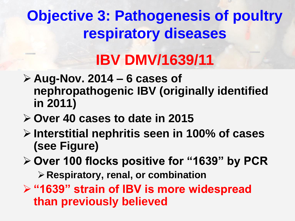## **Objective 3: Pathogenesis of poultry respiratory diseases**

## **IBV DMV/1639/11**

- **Aug-Nov. 2014 – 6 cases of nephropathogenic IBV (originally identified in 2011)**
- **Over 40 cases to date in 2015**
- **Interstitial nephritis seen in 100% of cases (see Figure)**
- **Over 100 flocks positive for "1639" by PCR**
	- **Respiratory, renal, or combination**
- **"1639" strain of IBV is more widespread than previously believed**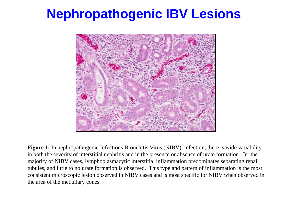#### **Nephropathogenic IBV Lesions**



**Figure 1:** In nephropathogenic Infectious Bronchitis Virus (NIBV) infection, there is wide variability in both the severity of interstitial nephritis and in the presence or absence of urate formation. In the majority of NIBV cases, lymphoplasmacytic interstitial inflammation predominates separating renal tubules, and little to no urate formation is observed. This type and pattern of inflammation is the most consistent microscopic lesion observed in NIBV cases and is most specific for NIBV when observed in the area of the medullary cones.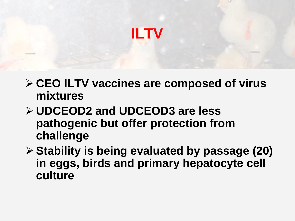

- **CEO ILTV vaccines are composed of virus mixtures**
- **UDCEOD2 and UDCEOD3 are less pathogenic but offer protection from challenge**
- **Stability is being evaluated by passage (20) in eggs, birds and primary hepatocyte cell culture**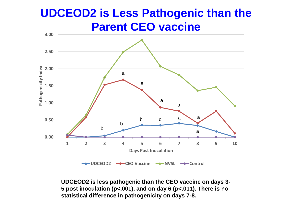#### **UDCEOD2 is Less Pathogenic than the Parent CEO vaccine**



**UDCEOD2 is less pathogenic than the CEO vaccine on days 3- 5 post inoculation (p<.001), and on day 6 (p<.011). There is no statistical difference in pathogenicity on days 7-8.**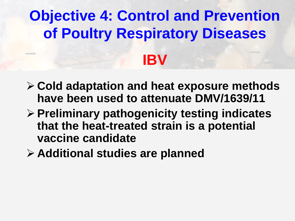## **Objective 4: Control and Prevention of Poultry Respiratory Diseases IBV**

- **Cold adaptation and heat exposure methods have been used to attenuate DMV/1639/11**
- **Preliminary pathogenicity testing indicates that the heat-treated strain is a potential vaccine candidate**
- **Additional studies are planned**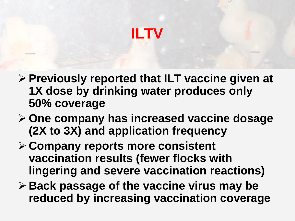## **ILTV**

- **Previously reported that ILT vaccine given at 1X dose by drinking water produces only 50% coverage**
- **One company has increased vaccine dosage (2X to 3X) and application frequency**
- **Company reports more consistent vaccination results (fewer flocks with lingering and severe vaccination reactions)**
- **► Back passage of the vaccine virus may be reduced by increasing vaccination coverage**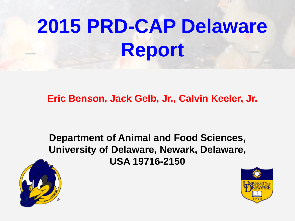# **2015 PRD-CAP Delaware Report**

**Eric Benson, Jack Gelb, Jr., Calvin Keeler, Jr.**

**Department of Animal and Food Sciences, University of Delaware, Newark, Delaware, USA 19716-2150**



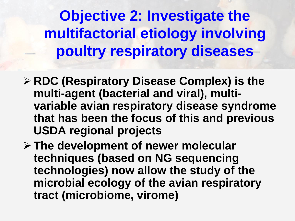**Objective 2: Investigate the multifactorial etiology involving poultry respiratory diseases**

- **RDC (Respiratory Disease Complex) is the multi-agent (bacterial and viral), multivariable avian respiratory disease syndrome that has been the focus of this and previous USDA regional projects**
- **The development of newer molecular techniques (based on NG sequencing technologies) now allow the study of the microbial ecology of the avian respiratory tract (microbiome, virome)**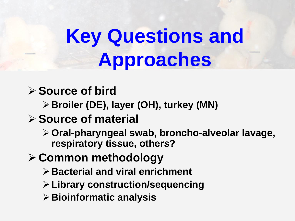## **Key Questions and Approaches**

#### **Source of bird**

**Broiler (DE), layer (OH), turkey (MN)**

#### **Source of material**

**Oral-pharyngeal swab, broncho-alveolar lavage, respiratory tissue, others?**

#### **Common methodology**

- **Bacterial and viral enrichment**
- **Library construction/sequencing**
- **Bioinformatic analysis**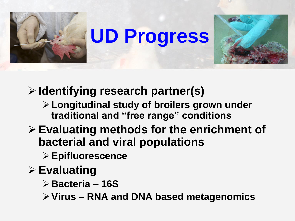

## **UD Progress**



**Identifying research partner(s)**

- **Longitudinal study of broilers grown under traditional and "free range" conditions**
- **Evaluating methods for the enrichment of bacterial and viral populations**
	- **Epifluorescence**
- **Evaluating** 
	- **Bacteria – 16S**
	- **Virus – RNA and DNA based metagenomics**